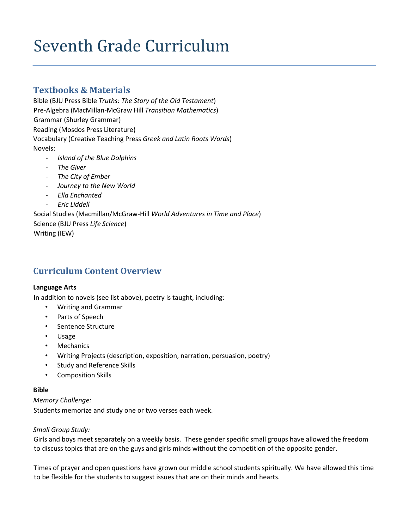# Seventh Grade Curriculum

# **Textbooks & Materials**

Bible (BJU Press Bible *Truths: The Story of the Old Testament*) Pre-Algebra (MacMillan-McGraw Hill *Transition Mathematics*) Grammar (Shurley Grammar) Reading (Mosdos Press Literature) Vocabulary (Creative Teaching Press *Greek and Latin Roots Words*) Novels:

- *- Island of the Blue Dolphins*
- *- The Giver*
- *- The City of Ember*
- *- Journey to the New World*
- *- Ella Enchanted*
- *- Eric Liddell*

Social Studies (Macmillan/McGraw-Hill *World Adventures in Time and Place*) Science (BJU Press *Life Science*) Writing (IEW)

# **Curriculum Content Overview**

# **Language Arts**

In addition to novels (see list above), poetry is taught, including:

- Writing and Grammar
- Parts of Speech
- Sentence Structure
- Usage
- Mechanics
- Writing Projects (description, exposition, narration, persuasion, poetry)
- Study and Reference Skills
- Composition Skills

### **Bible**

*Memory Challenge:*  Students memorize and study one or two verses each week.

# *Small Group Study:*

Girls and boys meet separately on a weekly basis. These gender specific small groups have allowed the freedom to discuss topics that are on the guys and girls minds without the competition of the opposite gender.

Times of prayer and open questions have grown our middle school students spiritually. We have allowed this time to be flexible for the students to suggest issues that are on their minds and hearts.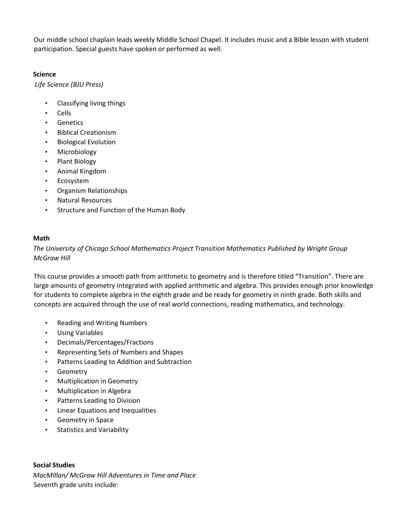Our middle school chaplain leads weekly Middle School Chapel. It includes music and a Bible lesson with student participation. Special guests have spoken or performed as well.

# **Science**

*Life Science (BJU Press)*

- Classifying living things
- Cells
- Genetics
- Biblical Creationism
- Biological Evolution
- Microbiology
- Plant Biology
- Animal Kingdom
- Ecosystem
- Organism Relationships
- Natural Resources
- Structure and Function of the Human Body

# **Math**

*The University of Chicago School Mathematics Project Transition Mathematics Published by Wright Group McGraw Hill*

This course provides a smooth path from arithmetic to geometry and is therefore titled "Transition". There are large amounts of geometry integrated with applied arithmetic and algebra. This provides enough prior knowledge for students to complete algebra in the eighth grade and be ready for geometry in ninth grade. Both skills and concepts are acquired through the use of real world connections, reading mathematics, and technology.

- Reading and Writing Numbers
- Using Variables
- Decimals/Percentages/Fractions
- Representing Sets of Numbers and Shapes
- Patterns Leading to Addition and Subtraction
- Geometry
- Multiplication in Geometry
- Multiplication in Algebra
- Patterns Leading to Division
- Linear Equations and Inequalities
- Geometry in Space
- Statistics and Variability

# **Social Studies**

*MacMIllan/ McGraw Hill Adventures in Time and Place* Seventh grade units include: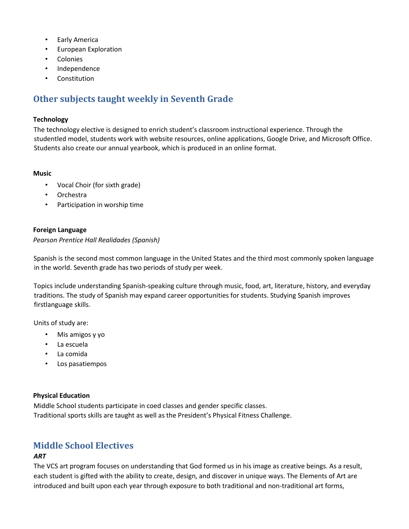- Early America
- European Exploration
- Colonies
- Independence
- Constitution

# **Other subjects taught weekly in Seventh Grade**

### **Technology**

The technology elective is designed to enrich student's classroom instructional experience. Through the studentled model, students work with website resources, online applications, Google Drive, and Microsoft Office. Students also create our annual yearbook, which is produced in an online format.

#### **Music**

- Vocal Choir (for sixth grade)
- Orchestra
- Participation in worship time

## **Foreign Language**

### *Pearson Prentice Hall Realidades (Spanish)*

Spanish is the second most common language in the United States and the third most commonly spoken language in the world. Seventh grade has two periods of study per week.

Topics include understanding Spanish-speaking culture through music, food, art, literature, history, and everyday traditions. The study of Spanish may expand career opportunities for students. Studying Spanish improves firstlanguage skills.

Units of study are:

- Mis amigos y yo
- La escuela
- La comida
- Los pasatiempos

### **Physical Education**

Middle School students participate in coed classes and gender specific classes. Traditional sports skills are taught as well as the President's Physical Fitness Challenge.

# **Middle School Electives**

### *ART*

The VCS art program focuses on understanding that God formed us in his image as creative beings. As a result, each student is gifted with the ability to create, design, and discover in unique ways. The Elements of Art are introduced and built upon each year through exposure to both traditional and non-traditional art forms,